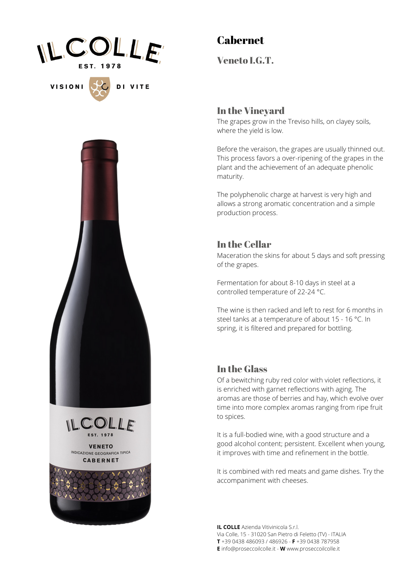

**VISIONI** 

DI VITE

# Cabernet

Veneto I.G.T.

#### In the Vineyard

The grapes grow in the Treviso hills, on clayey soils, where the yield is low.

Before the veraison, the grapes are usually thinned out. This process favors a over-ripening of the grapes in the plant and the achievement of an adequate phenolic maturity.

The polyphenolic charge at harvest is very high and allows a strong aromatic concentration and a simple production process.

### In the Cellar

Maceration the skins for about 5 days and soft pressing of the grapes.

Fermentation for about 8-10 days in steel at a controlled temperature of 22-24 °C.

The wine is then racked and left to rest for 6 months in steel tanks at a temperature of about 15 - 16 °C. In spring, it is filtered and prepared for bottling.

#### In the Glass

Of a bewitching ruby red color with violet reflections, it is enriched with garnet reflections with aging. The aromas are those of berries and hay, which evolve over time into more complex aromas ranging from ripe fruit to spices.

It is a full-bodied wine, with a good structure and a good alcohol content; persistent. Excellent when young, it improves with time and refinement in the bottle.

It is combined with red meats and game dishes. Try the accompaniment with cheeses.

**IL COLLE** Azienda Vitivinicola S.r.l. Via Colle, 15 - 31020 San Pietro di Feletto (TV) - ITALIA **T** +39 0438 486093 / 486926 - **F** +39 0438 787958 **E** info@proseccoilcolle.it - **W** www.proseccoilcolle.it